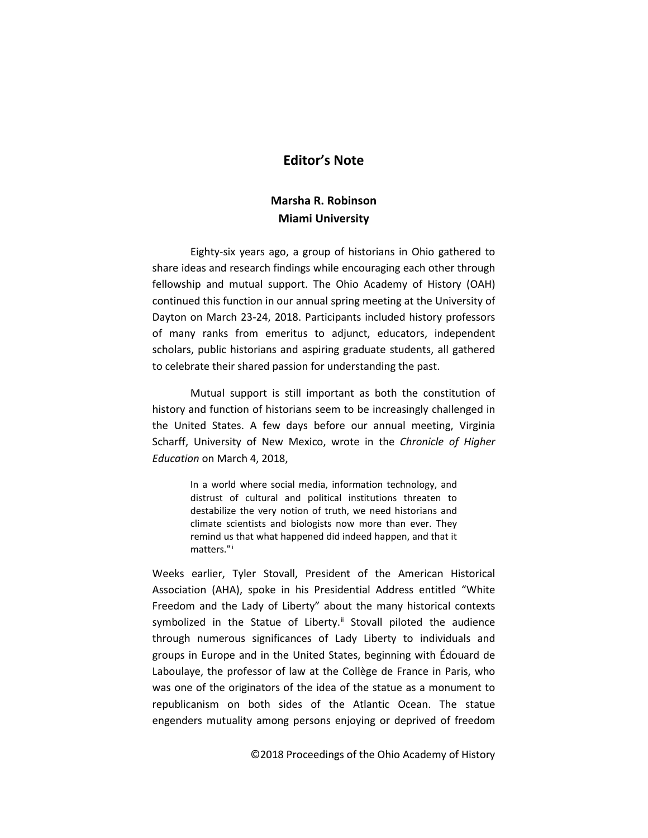## **Editor's Note**

## **Marsha R. Robinson Miami University**

Eighty-six years ago, a group of historians in Ohio gathered to share ideas and research findings while encouraging each other through fellowship and mutual support. The Ohio Academy of History (OAH) continued this function in our annual spring meeting at the University of Dayton on March 23-24, 2018. Participants included history professors of many ranks from emeritus to adjunct, educators, independent scholars, public historians and aspiring graduate students, all gathered to celebrate their shared passion for understanding the past.

Mutual support is still important as both the constitution of history and function of historians seem to be increasingly challenged in the United States. A few days before our annual meeting, Virginia Scharff, University of New Mexico, wrote in the *Chronicle of Higher Education* on March 4, 2018,

> In a world where social media, information technology, and distrust of cultural and political institutions threaten to destabilize the very notion of truth, we need historians and climate scientists and biologists now more than ever. They remind us that what happened did indeed happen, and that it matters."[i](#page-3-0)

Weeks earlier, Tyler Stovall, President of the American Historical Association (AHA), spoke in his Presidential Address entitled "White Freedom and the Lady of Liberty" about the many historical contexts symbolized in the Statue of Liberty.<sup>[ii](#page-3-1)</sup> Stovall piloted the audience through numerous significances of Lady Liberty to individuals and groups in Europe and in the United States, beginning with Édouard de Laboulaye, the professor of law at the Collège de France in Paris, who was one of the originators of the idea of the statue as a monument to republicanism on both sides of the Atlantic Ocean. The statue engenders mutuality among persons enjoying or deprived of freedom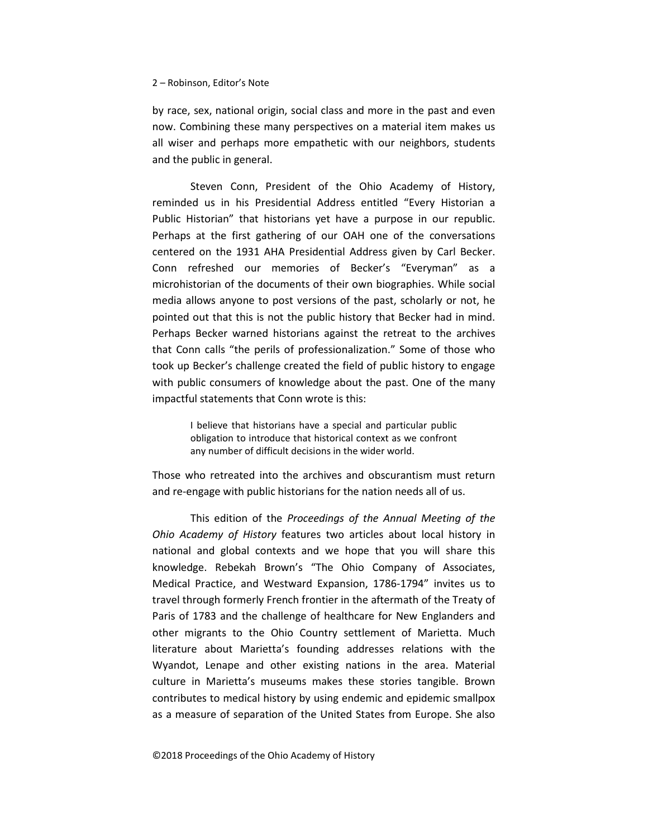## 2 – Robinson, Editor's Note

by race, sex, national origin, social class and more in the past and even now. Combining these many perspectives on a material item makes us all wiser and perhaps more empathetic with our neighbors, students and the public in general.

Steven Conn, President of the Ohio Academy of History, reminded us in his Presidential Address entitled "Every Historian a Public Historian" that historians yet have a purpose in our republic. Perhaps at the first gathering of our OAH one of the conversations centered on the 1931 AHA Presidential Address given by Carl Becker. Conn refreshed our memories of Becker's "Everyman" as a microhistorian of the documents of their own biographies. While social media allows anyone to post versions of the past, scholarly or not, he pointed out that this is not the public history that Becker had in mind. Perhaps Becker warned historians against the retreat to the archives that Conn calls "the perils of professionalization." Some of those who took up Becker's challenge created the field of public history to engage with public consumers of knowledge about the past. One of the many impactful statements that Conn wrote is this:

> I believe that historians have a special and particular public obligation to introduce that historical context as we confront any number of difficult decisions in the wider world.

Those who retreated into the archives and obscurantism must return and re-engage with public historians for the nation needs all of us.

This edition of the *Proceedings of the Annual Meeting of the Ohio Academy of History* features two articles about local history in national and global contexts and we hope that you will share this knowledge. Rebekah Brown's "The Ohio Company of Associates, Medical Practice, and Westward Expansion, 1786-1794" invites us to travel through formerly French frontier in the aftermath of the Treaty of Paris of 1783 and the challenge of healthcare for New Englanders and other migrants to the Ohio Country settlement of Marietta. Much literature about Marietta's founding addresses relations with the Wyandot, Lenape and other existing nations in the area. Material culture in Marietta's museums makes these stories tangible. Brown contributes to medical history by using endemic and epidemic smallpox as a measure of separation of the United States from Europe. She also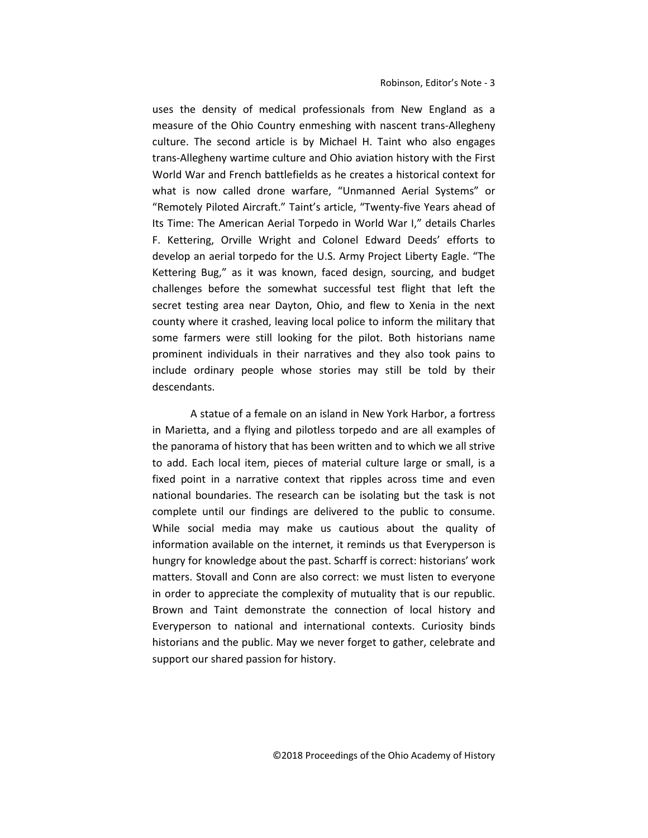uses the density of medical professionals from New England as a measure of the Ohio Country enmeshing with nascent trans-Allegheny culture. The second article is by Michael H. Taint who also engages trans-Allegheny wartime culture and Ohio aviation history with the First World War and French battlefields as he creates a historical context for what is now called drone warfare, "Unmanned Aerial Systems" or "Remotely Piloted Aircraft." Taint's article, "Twenty-five Years ahead of Its Time: The American Aerial Torpedo in World War I," details Charles F. Kettering, Orville Wright and Colonel Edward Deeds' efforts to develop an aerial torpedo for the U.S. Army Project Liberty Eagle. "The Kettering Bug," as it was known, faced design, sourcing, and budget challenges before the somewhat successful test flight that left the secret testing area near Dayton, Ohio, and flew to Xenia in the next county where it crashed, leaving local police to inform the military that some farmers were still looking for the pilot. Both historians name prominent individuals in their narratives and they also took pains to include ordinary people whose stories may still be told by their descendants.

A statue of a female on an island in New York Harbor, a fortress in Marietta, and a flying and pilotless torpedo and are all examples of the panorama of history that has been written and to which we all strive to add. Each local item, pieces of material culture large or small, is a fixed point in a narrative context that ripples across time and even national boundaries. The research can be isolating but the task is not complete until our findings are delivered to the public to consume. While social media may make us cautious about the quality of information available on the internet, it reminds us that Everyperson is hungry for knowledge about the past. Scharff is correct: historians' work matters. Stovall and Conn are also correct: we must listen to everyone in order to appreciate the complexity of mutuality that is our republic. Brown and Taint demonstrate the connection of local history and Everyperson to national and international contexts. Curiosity binds historians and the public. May we never forget to gather, celebrate and support our shared passion for history.